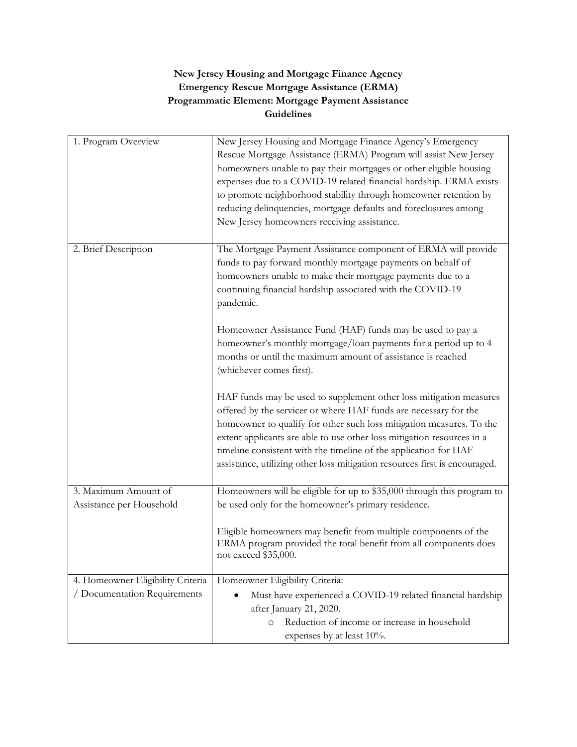## **New Jersey Housing and Mortgage Finance Agency Emergency Rescue Mortgage Assistance (ERMA) Programmatic Element: Mortgage Payment Assistance Guidelines**

| 1. Program Overview               | New Jersey Housing and Mortgage Finance Agency's Emergency<br>Rescue Mortgage Assistance (ERMA) Program will assist New Jersey<br>homeowners unable to pay their mortgages or other eligible housing<br>expenses due to a COVID-19 related financial hardship. ERMA exists<br>to promote neighborhood stability through homeowner retention by<br>reducing delinquencies, mortgage defaults and foreclosures among<br>New Jersey homeowners receiving assistance. |
|-----------------------------------|-------------------------------------------------------------------------------------------------------------------------------------------------------------------------------------------------------------------------------------------------------------------------------------------------------------------------------------------------------------------------------------------------------------------------------------------------------------------|
| 2. Brief Description              | The Mortgage Payment Assistance component of ERMA will provide<br>funds to pay forward monthly mortgage payments on behalf of<br>homeowners unable to make their mortgage payments due to a<br>continuing financial hardship associated with the COVID-19<br>pandemic.                                                                                                                                                                                            |
|                                   | Homeowner Assistance Fund (HAF) funds may be used to pay a<br>homeowner's monthly mortgage/loan payments for a period up to 4<br>months or until the maximum amount of assistance is reached<br>(whichever comes first).                                                                                                                                                                                                                                          |
|                                   | HAF funds may be used to supplement other loss mitigation measures<br>offered by the servicer or where HAF funds are necessary for the<br>homeowner to qualify for other such loss mitigation measures. To the<br>extent applicants are able to use other loss mitigation resources in a<br>timeline consistent with the timeline of the application for HAF<br>assistance, utilizing other loss mitigation resources first is encouraged.                        |
| 3. Maximum Amount of              | Homeowners will be eligible for up to \$35,000 through this program to                                                                                                                                                                                                                                                                                                                                                                                            |
| Assistance per Household          | be used only for the homeowner's primary residence.<br>Eligible homeowners may benefit from multiple components of the<br>ERMA program provided the total benefit from all components does<br>not exceed \$35,000.                                                                                                                                                                                                                                                |
| 4. Homeowner Eligibility Criteria | Homeowner Eligibility Criteria:                                                                                                                                                                                                                                                                                                                                                                                                                                   |
| / Documentation Requirements      | Must have experienced a COVID-19 related financial hardship                                                                                                                                                                                                                                                                                                                                                                                                       |
|                                   | after January 21, 2020.                                                                                                                                                                                                                                                                                                                                                                                                                                           |
|                                   | Reduction of income or increase in household<br>$\circ$<br>expenses by at least 10%.                                                                                                                                                                                                                                                                                                                                                                              |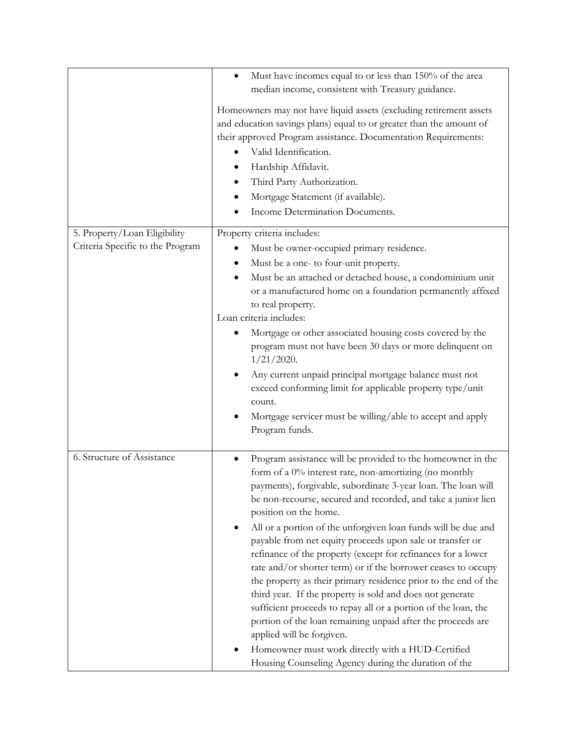|                                  | Must have incomes equal to or less than 150% of the area<br>median income, consistent with Treasury guidance.                                                                                                                                                                                                                                                      |
|----------------------------------|--------------------------------------------------------------------------------------------------------------------------------------------------------------------------------------------------------------------------------------------------------------------------------------------------------------------------------------------------------------------|
|                                  | Homeowners may not have liquid assets (excluding retirement assets<br>and education savings plans) equal to or greater than the amount of<br>their approved Program assistance. Documentation Requirements:<br>Valid Identification.<br>Hardship Affidavit.<br>Third Party Authorization.<br>Mortgage Statement (if available).<br>Income Determination Documents. |
| 5. Property/Loan Eligibility     | Property criteria includes:                                                                                                                                                                                                                                                                                                                                        |
| Criteria Specific to the Program | Must be owner-occupied primary residence.                                                                                                                                                                                                                                                                                                                          |
|                                  | Must be a one- to four-unit property.                                                                                                                                                                                                                                                                                                                              |
|                                  | Must be an attached or detached house, a condominium unit                                                                                                                                                                                                                                                                                                          |
|                                  | or a manufactured home on a foundation permanently affixed                                                                                                                                                                                                                                                                                                         |
|                                  | to real property.<br>Loan criteria includes:                                                                                                                                                                                                                                                                                                                       |
|                                  | Mortgage or other associated housing costs covered by the                                                                                                                                                                                                                                                                                                          |
|                                  | program must not have been 30 days or more delinquent on                                                                                                                                                                                                                                                                                                           |
|                                  | $1/21/2020$ .                                                                                                                                                                                                                                                                                                                                                      |
|                                  | Any current unpaid principal mortgage balance must not<br>exceed conforming limit for applicable property type/unit<br>count.                                                                                                                                                                                                                                      |
|                                  | Mortgage servicer must be willing/able to accept and apply                                                                                                                                                                                                                                                                                                         |
|                                  | Program funds.                                                                                                                                                                                                                                                                                                                                                     |
|                                  |                                                                                                                                                                                                                                                                                                                                                                    |
| 6. Structure of Assistance       | Program assistance will be provided to the homeowner in the<br>form of a 0% interest rate, non-amortizing (no monthly<br>payments), forgivable, subordinate 3-year loan. The loan will<br>be non-recourse, secured and recorded, and take a junior lien<br>position on the home.                                                                                   |
|                                  | All or a portion of the unforgiven loan funds will be due and<br>٠<br>payable from net equity proceeds upon sale or transfer or                                                                                                                                                                                                                                    |
|                                  | refinance of the property (except for refinances for a lower<br>rate and/or shorter term) or if the borrower ceases to occupy                                                                                                                                                                                                                                      |
|                                  | the property as their primary residence prior to the end of the                                                                                                                                                                                                                                                                                                    |
|                                  | third year. If the property is sold and does not generate                                                                                                                                                                                                                                                                                                          |
|                                  | sufficient proceeds to repay all or a portion of the loan, the<br>portion of the loan remaining unpaid after the proceeds are<br>applied will be forgiven.                                                                                                                                                                                                         |
|                                  | Homeowner must work directly with a HUD-Certified                                                                                                                                                                                                                                                                                                                  |
|                                  | Housing Counseling Agency during the duration of the                                                                                                                                                                                                                                                                                                               |